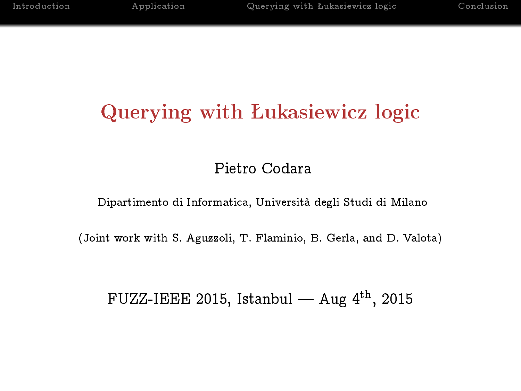# Querying with Łukasiewicz logic

# Pietro Codara

Dipartimento di Informatica, Università degli Studi di Milano

(Joint work with S. Aguzzoli, T. Flaminio, B. Gerla, and D. Valota)

# FUZZ-IEEE 2015, Istanbul  $-$  Aug 4<sup>th</sup>, 2015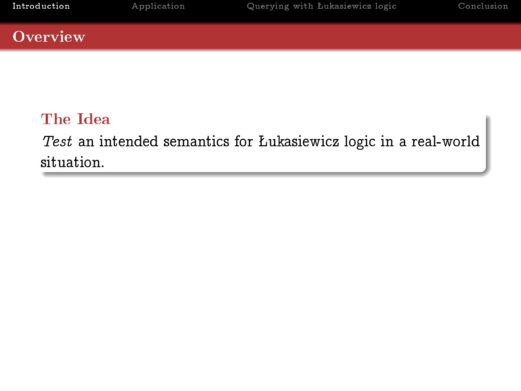## **Overview**

# The Idea

<span id="page-1-0"></span>Test an intended semantics for Lukasiewicz logic in a real-world situation.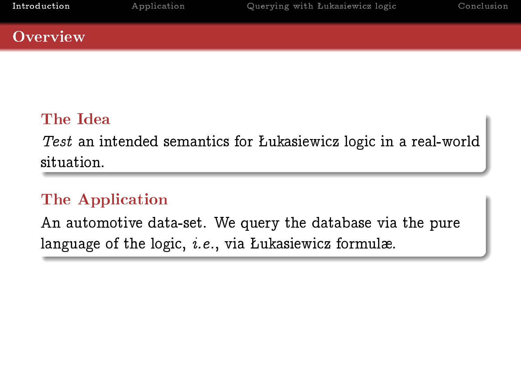### **Overview**

# The Idea

Test an intended semantics for Lukasiewicz logic in a real-world situation.

# The Application

An automotive data-set. We query the database via the pure language of the logic,  $i.e.,$  via Lukasiewicz formulæ.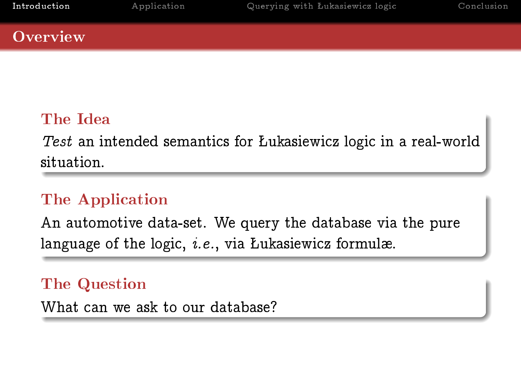### **Overview**

# The Idea

Test an intended semantics for Lukasiewicz logic in a real-world situation.

# The Application

An automotive data-set. We query the database via the pure language of the logic,  $i.e.,$  via Lukasiewicz formulæ.

The Question

What can we ask to our database?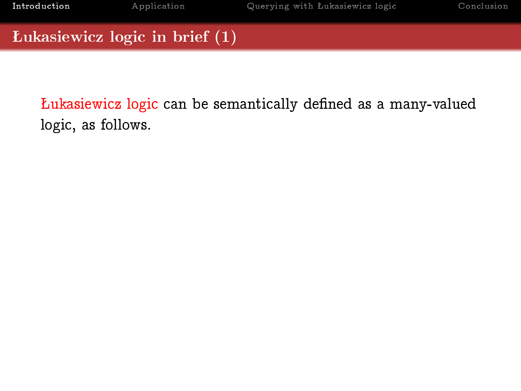Łukasiewicz logic can be semantically defined as a many-valued logic, as follows.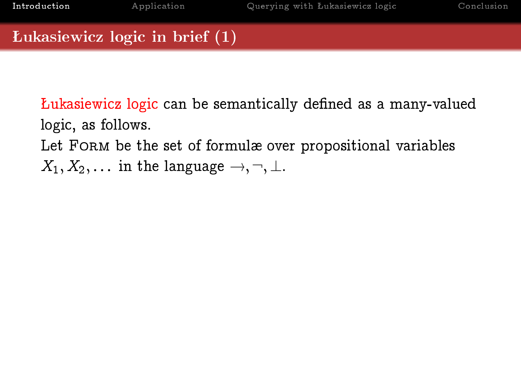Łukasiewicz logic can be semantically defined as a many-valued logic, as follows. Let FORM be the set of formulæ over propositional variables

 $X_1, X_2, \ldots$  in the language  $\rightarrow, \neg, \perp$ .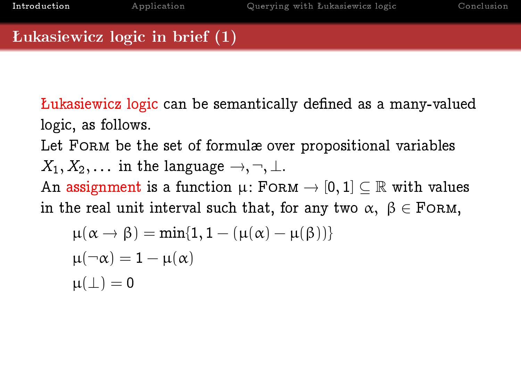Lukasiewicz logic can be semantically defined as a many-valued logic, as follows.

Let FORM be the set of formulæ over propositional variables  $X_1, X_2, \ldots$  in the language  $\rightarrow, \neg, \perp$ . An assignment is a function  $\mu$ : FORM  $\rightarrow$  [0, 1]  $\subset \mathbb{R}$  with values in the real unit interval such that, for any two  $\alpha, \beta \in$  FORM,

$$
\mu(\alpha \to \beta) = \min\{1, 1 - (\mu(\alpha) - \mu(\beta))\}
$$
  

$$
\mu(\neg \alpha) = 1 - \mu(\alpha)
$$
  

$$
\mu(\bot) = 0
$$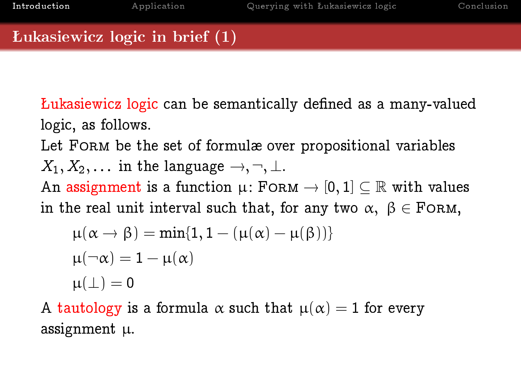Lukasiewicz logic can be semantically defined as a many-valued logic, as follows.

Let FORM be the set of formulæ over propositional variables  $X_1, X_2, \ldots$  in the language  $\rightarrow, \neg, \perp$ . An assignment is a function  $\mu$ : FORM  $\rightarrow$  [0, 1]  $\subseteq \mathbb{R}$  with values in the real unit interval such that, for any two  $\alpha, \beta \in$  FORM,

$$
\begin{aligned} \mu(\alpha\to\beta)&=\min\{1,1-(\mu(\alpha)-\mu(\beta))\}\\ \mu(\neg\alpha)&=1-\mu(\alpha)\\ \mu(\bot)&=0 \end{aligned}
$$

A tautology is a formula  $\alpha$  such that  $\mu(\alpha) = 1$  for every assignment µ.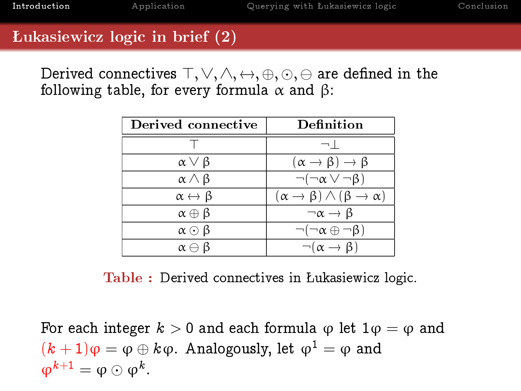Derived connectives  $\top, \vee, \wedge, \leftrightarrow, \oplus, \odot, \ominus$  are defined in the following table, for every formula  $\alpha$  and  $\beta$ :

| Derived connective             | Definition                                                    |  |
|--------------------------------|---------------------------------------------------------------|--|
|                                | $\lnot$                                                       |  |
| $\alpha \vee \beta$            | $(\alpha \rightarrow \beta) \rightarrow \beta$                |  |
| $\alpha \wedge \beta$          | $\neg(\neg \alpha \vee \neg \beta)$                           |  |
| $\alpha \leftrightarrow \beta$ | $(\alpha \rightarrow \beta) \land (\beta \rightarrow \alpha)$ |  |
| $\alpha \oplus \beta$          | $\neg \alpha \rightarrow \beta$                               |  |
| $\alpha \odot \beta$           | $\neg(\neg \alpha \oplus \neg \beta)$                         |  |
| $\alpha \ominus \beta$         | $\neg(\alpha \rightarrow \beta)$                              |  |

Table : Derived connectives in Lukasiewicz logic.

For each integer  $k > 0$  and each formula  $\varphi$  let  $1\varphi = \varphi$  and  $(k+1)\varphi = \varphi \oplus k\varphi$ . Analogously, let  $\varphi^1 = \varphi$  and  $\varphi^{k+1} = \varphi \odot \varphi^k$ .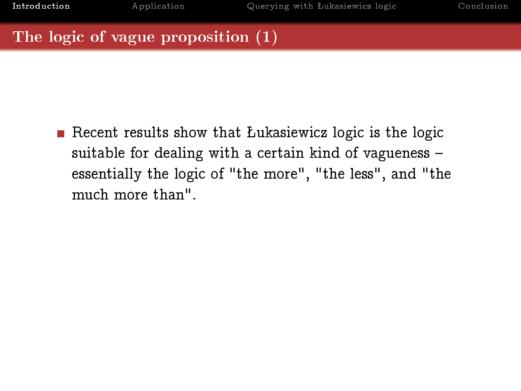Recent results show that Lukasiewicz logic is the logic suitable for dealing with a certain kind of vagueness essentially the logic of "the more", "the less", and "the much more than".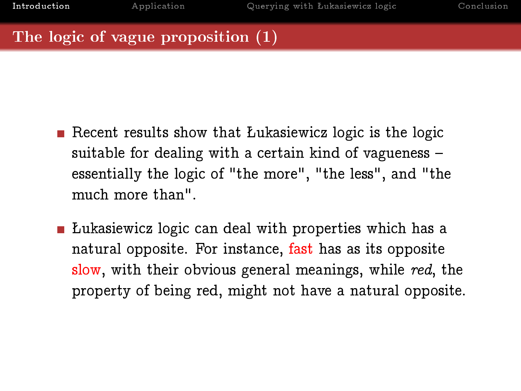- Recent results show that Lukasiewicz logic is the logic suitable for dealing with a certain kind of vagueness essentially the logic of "the more", "the less", and "the much more than".
- **E** Lukasiewicz logic can deal with properties which has a natural opposite. For instance, fast has as its opposite slow, with their obvious general meanings, while red, the property of being red, might not have a natural opposite.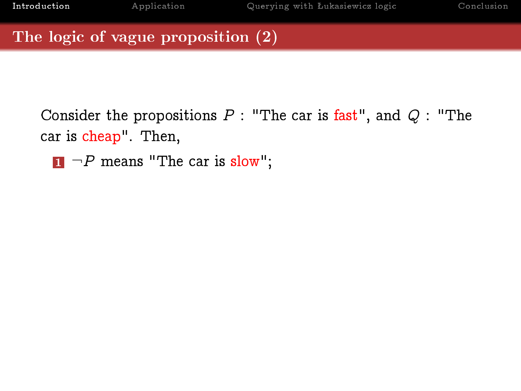Consider the propositions  $P$  : "The car is fast", and  $Q$  : "The car is cheap". Then,

 $\blacksquare$   $\neg P$  means "The car is slow";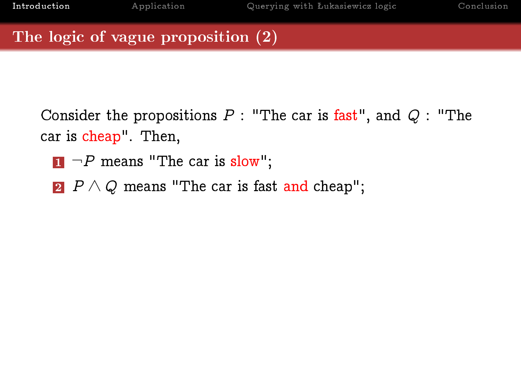- $\blacksquare$   $\neg P$  means "The car is slow";
- 2  $P \wedge Q$  means "The car is fast and cheap";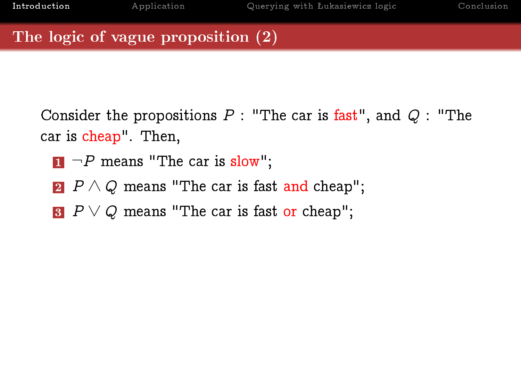- $\blacksquare$   $\neg P$  means "The car is slow";
- 2  $P \wedge Q$  means "The car is fast and cheap";
- $3$  P  $\vee$  Q means "The car is fast or cheap";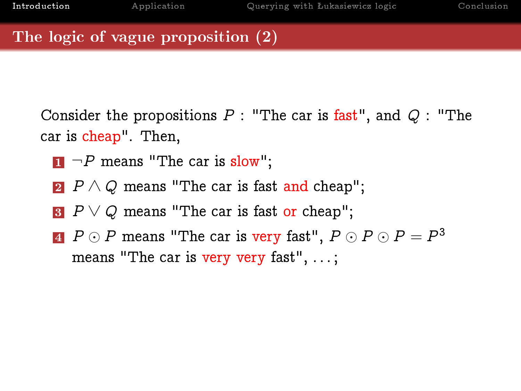- $\blacksquare$   $\neg P$  means "The car is slow";
- 2  $P \wedge Q$  means "The car is fast and cheap";
- $3$  P  $\vee$  Q means "The car is fast or cheap";
- $\overline{A}$   $P \odot P$  means "The car is very fast",  $P \odot P \odot P = P^3$ means "The car is very very fast", ...;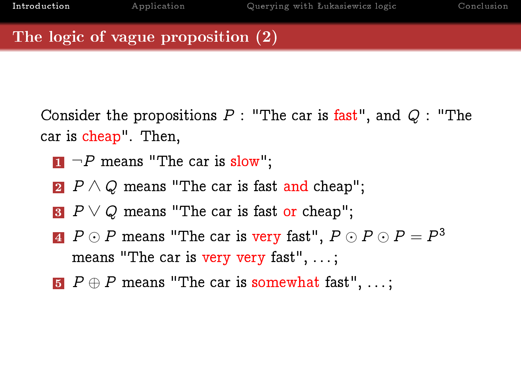- $\blacksquare$   $\neg P$  means "The car is slow";
- 2  $P \wedge Q$  means "The car is fast and cheap";
- $3$  P  $\vee$  Q means "The car is fast or cheap";
- $\overline{A}$   $P \odot P$  means "The car is very fast",  $P \odot P \odot P = P^3$ means "The car is very very fast", ...;
- $\bf{5}$   $P \oplus P$  means "The car is somewhat fast", ...;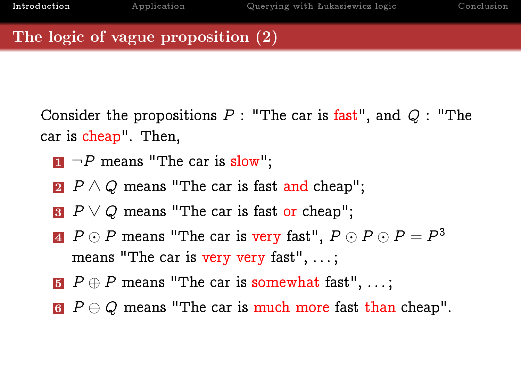- $\blacksquare$   $\neg P$  means "The car is slow";
- 2  $P \wedge Q$  means "The car is fast and cheap";
- $3$  P  $\vee$  Q means "The car is fast or cheap";
- $\overline{A}$   $P \odot P$  means "The car is very fast",  $P \odot P \odot P = P^3$ means "The car is very very fast", ...;
- $\bf{5}$   $P \oplus P$  means "The car is somewhat fast", ...;
- 6  $P \ominus Q$  means "The car is much more fast than cheap".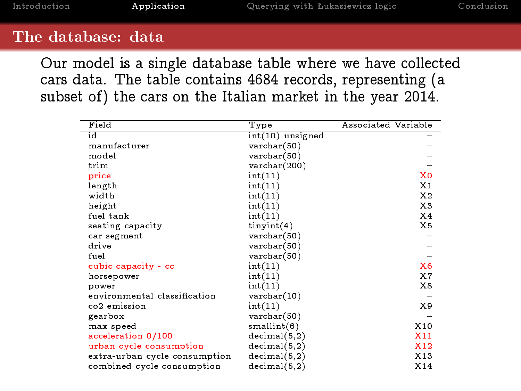#### The database: data

٠

Our model is a single database table where we have collected cars data. The table contains 4684 records, representing (a subset of) the cars on the Italian market in the year 2014.

<span id="page-18-0"></span>

| Field                         | Type                    | Associated Variable |
|-------------------------------|-------------------------|---------------------|
| id                            | int(10) unsigned        |                     |
| manufacturer                  | $\text{varchar}(50)$    |                     |
| model                         | $\texttt{varchar}(50)$  |                     |
| trim                          | $\texttt{varchar}(200)$ |                     |
| price                         | int(11)                 | X <sub>0</sub>      |
| length                        | int(11)                 | X1                  |
| width                         | int(11)                 | X2                  |
| height                        | int(11)                 | X3                  |
| fuel tank                     | int(11)                 | X4                  |
| seating capacity              | $t$ in yint $(4)$       | X5                  |
| car segment                   | $\texttt{varchar}(50)$  |                     |
| drive                         | $\texttt{varchar}(50)$  |                     |
| fuel                          | $\texttt{varchar}(50)$  |                     |
| cubic capacity - cc           | int(11)                 | X6                  |
| horsepower                    | int(11)                 | X7                  |
| power                         | int(11)                 | X8                  |
| environmental classification  | $\text{varchar}(10)$    |                     |
| co2 emission                  | int(11)                 | X9                  |
| gearbox                       | $\texttt{varchar}(50)$  |                     |
| max speed                     | small int(6)            | X10                 |
| acceleration 0/100            | decimal(5,2)            | X11                 |
| urban cycle consumption       | decimal(5,2)            | X12                 |
| extra-urban cycle consumption | decimal(5,2)            | X13                 |
| combined cycle consumption    | decimal(5,2)            | X14                 |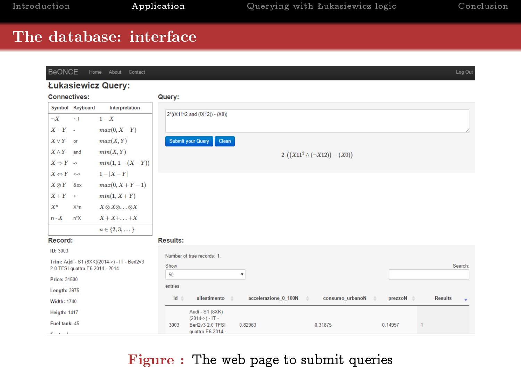# The database: interface

| <b>BeONCE</b>                         | Home About Contact                           |                                                                                                            | Log Out             |
|---------------------------------------|----------------------------------------------|------------------------------------------------------------------------------------------------------------|---------------------|
|                                       | Łukasiewicz Query:                           |                                                                                                            |                     |
| <b>Connectives:</b>                   |                                              | Query:                                                                                                     |                     |
| Symbol Keyboard                       | Interpretation                               |                                                                                                            |                     |
| $\neg X$<br>$\sim$ 1                  | $1-X$                                        | 2"((X11^2 and (!X12)) - (X0))                                                                              |                     |
| $X-Y$ -                               | $max(0, X - Y)$                              |                                                                                                            |                     |
| $X \vee Y$ or                         | max(X, Y)                                    | <b>Submit your Query</b><br>Clean                                                                          |                     |
| $X \wedge Y$<br>and                   | min(X, Y)                                    | 2 $((X11^2 \wedge (\neg X12)) - (X0))$                                                                     |                     |
| $X \Rightarrow Y \Rightarrow$         | $min(1, 1 - (X - Y))$                        |                                                                                                            |                     |
| $X \Leftrightarrow Y \iff$            | $1 -  X - Y $                                |                                                                                                            |                     |
| $X \otimes Y$ & ox                    | $max(0, X+Y-1)$                              |                                                                                                            |                     |
| $X+Y$ +                               | $min(1, X+Y)$                                |                                                                                                            |                     |
| $X^n$<br>X^n                          | $X \otimes X \otimes \ldots \otimes X$       |                                                                                                            |                     |
| $n \cdot X$<br>n <sup>*</sup> X       | $X+X+\ldots+X$                               |                                                                                                            |                     |
|                                       | $n \in \{2, 3, \dots\}$                      |                                                                                                            |                     |
| Record:                               |                                              | <b>Results:</b>                                                                                            |                     |
| ID: 3003                              |                                              | Number of true records: 1.                                                                                 |                     |
|                                       | Trim: Audi - S1 (8XK)(2014->) - IT - Berl2v3 | Show                                                                                                       | Search:             |
| 2.0 TFSI quattro E6 2014 - 2014       |                                              | 50<br>۰                                                                                                    |                     |
| Price: 31500                          |                                              | entries                                                                                                    |                     |
| <b>Length: 3975</b>                   |                                              | id à<br>allestimento<br>accelerazione 0 100N<br>consumo urbanoN<br>prezzoN $\triangleq$<br>$\Delta$<br>- 4 | <b>Results</b><br>٠ |
| <b>Width: 1740</b>                    |                                              |                                                                                                            |                     |
| <b>Heigth: 1417</b>                   |                                              | Audi - S1 (8XK)<br>$(2014-) - IT -$                                                                        |                     |
| Fuel tank: 45<br>$\sim$ $\sim$ $\sim$ |                                              | Berl2v3 2.0 TFSI<br>0.82963<br>0.31875<br>0.14957<br>3003<br>$\mathbf{1}$<br>quattro E6 2014 -             |                     |

# Figure : The web page to submit queries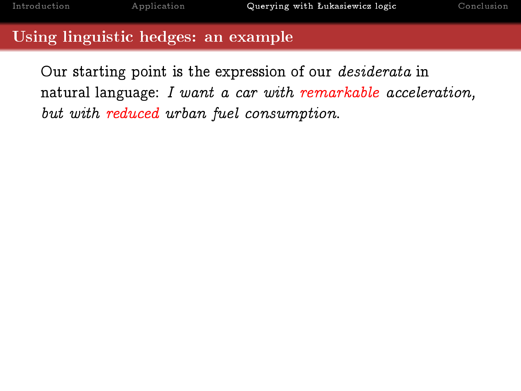#### Using linguistic hedges: an example

<span id="page-20-0"></span>Our starting point is the expression of our desiderata in natural language: I want a car with remarkable acceleration, but with reduced urban fuel consumption.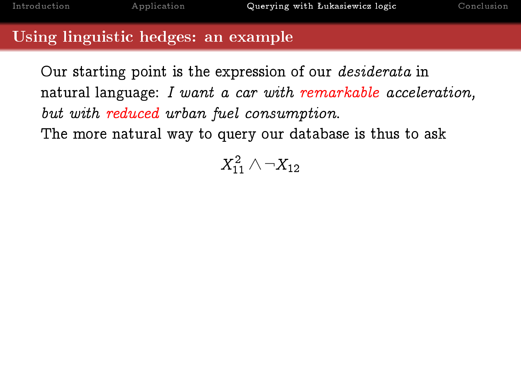#### Using linguistic hedges: an example

Our starting point is the expression of our desiderata in natural language: I want a car with remarkable acceleration, but with reduced urban fuel consumption. The more natural way to query our database is thus to ask

 $X_{11}^2 \wedge \neg X_{12}$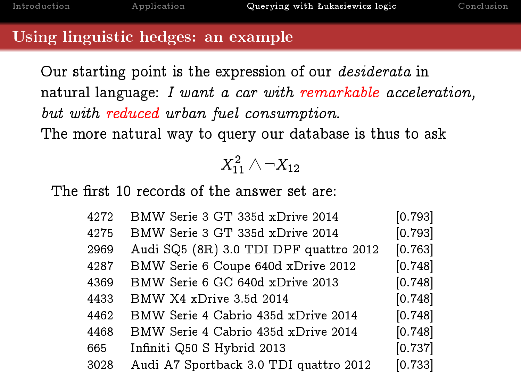#### Using linguistic hedges: an example

Our starting point is the expression of our desiderata in natural language: I want a car with remarkable acceleration, but with reduced urban fuel consumption. The more natural way to query our database is thus to ask

# $X_{11}^2 \wedge \neg X_{12}$

The first 10 records of the answer set are:

| 4272 | BMW Serie 3 GT 335d xDrive 2014        | [0.793] |
|------|----------------------------------------|---------|
| 4275 | BMW Serie 3 GT 335d xDrive 2014        | [0.793] |
| 2969 | Audi SQ5 (8R) 3.0 TDI DPF quattro 2012 | [0.763] |
| 4287 | BMW Serie 6 Coupe 640d xDrive 2012     | [0.748] |
| 4369 | BMW Serie 6 GC 640d xDrive 2013        | [0.748] |
| 4433 | BMW X4 xDrive 3.5d 2014                | [0.748] |
| 4462 | BMW Serie 4 Cabrio 435d xDrive 2014    | [0.748] |
| 4468 | BMW Serie 4 Cabrio 435d xDrive 2014    | [0.748] |
| 665  | Infiniti Q50 S Hybrid 2013             | [0.737] |
| 3028 | Audi A7 Sportback 3.0 TDI quattro 2012 | [0.733] |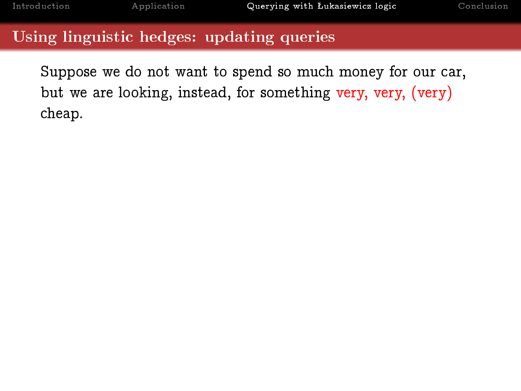# Using linguistic hedges: updating queries

Suppose we do not want to spend so much money for our car, but we are looking, instead, for something very, very, (very) cheap.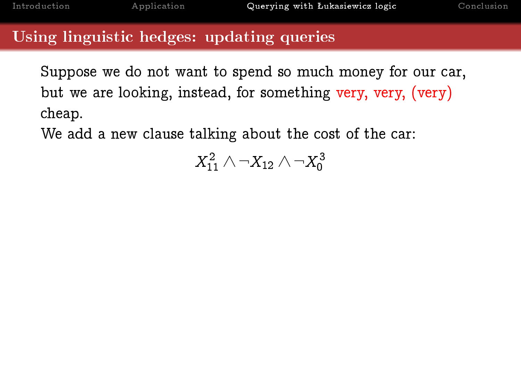### Using linguistic hedges: updating queries

Suppose we do not want to spend so much money for our car, but we are looking, instead, for something very, very, (very) cheap.

We add a new clause talking about the cost of the car:

 $X_{11}^2 \wedge \neg X_{12} \wedge \neg X_0^3$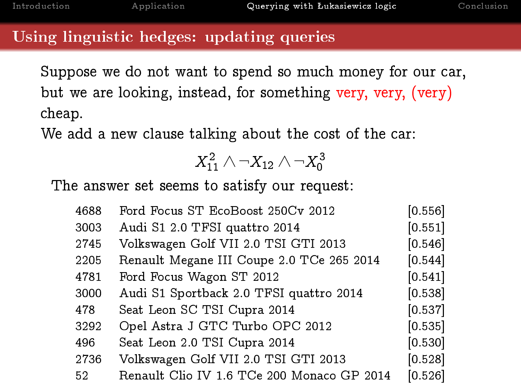# Using linguistic hedges: updating queries

Suppose we do not want to spend so much money for our car, but we are looking, instead, for something very, very, (very) cheap.

We add a new clause talking about the cost of the car:

$$
X_{11}^2\wedge\neg X_{12}\wedge\neg X_0^3
$$

The answer set seems to satisfy our request:

| 4688 | Ford Focus ST EcoBoost 250Cv 2012          | [0.556] |
|------|--------------------------------------------|---------|
| 3003 | Audi S1 2.0 TFSI quattro 2014              | [0.551] |
| 2745 | Volkswagen Golf VII 2.0 TSI GTI 2013       | [0.546] |
| 2205 | Renault Megane III Coupe 2.0 TCe 265 2014  | [0.544] |
| 4781 | Ford Focus Wagon ST 2012                   | [0.541] |
| 3000 | Audi S1 Sportback 2.0 TFSI quattro 2014    | [0.538] |
| 478  | Seat Leon SC TSI Cupra 2014                | [0.537] |
| 3292 | Opel Astra J GTC Turbo OPC 2012            | [0.535] |
| 496  | Seat Leon 2.0 TSI Cupra 2014               | [0.530] |
| 2736 | Volkswagen Golf VII 2.0 TSI GTI 2013       | [0.528] |
| 52   | Renault Clio IV 1.6 TCe 200 Monaco GP 2014 | [0.526] |
|      |                                            |         |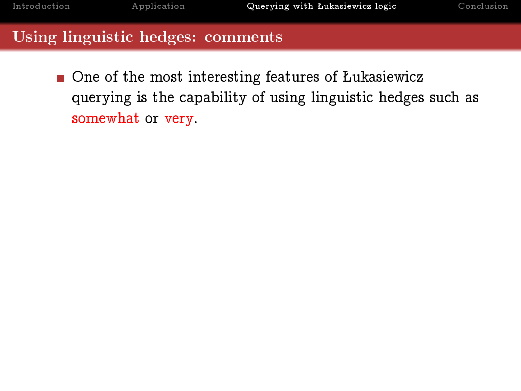$\blacksquare$  One of the most interesting features of Łukasiewicz querying is the capability of using linguistic hedges such as somewhat or very.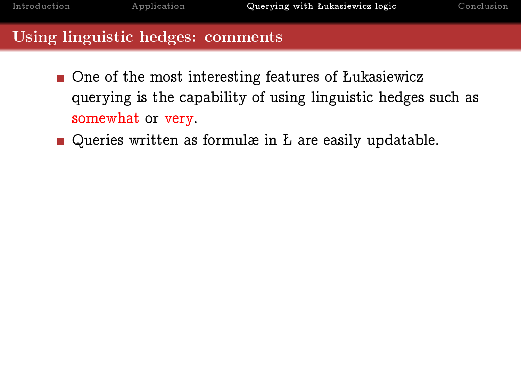- $\blacksquare$  One of the most interesting features of Lukasiewicz querying is the capability of using linguistic hedges such as somewhat or very.
- Queries written as formulæ in  $L$  are easily updatable.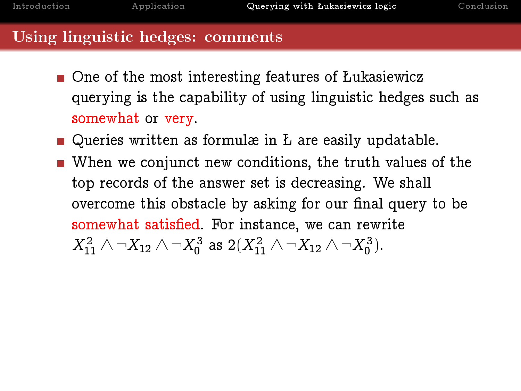- $\blacksquare$  One of the most interesting features of Lukasiewicz querying is the capability of using linguistic hedges such as somewhat or very.
- Queries written as formulæ in  $L$  are easily updatable.
- When we conjunct new conditions, the truth values of the top records of the answer set is decreasing. We shall overcome this obstacle by asking for our final query to be somewhat satisfied. For instance, we can rewrite  $X_{11}^2 \wedge \neg X_{12} \wedge \neg X_0^3$  as  $2(X_{11}^2 \wedge \neg X_{12} \wedge \neg X_0^3)$ .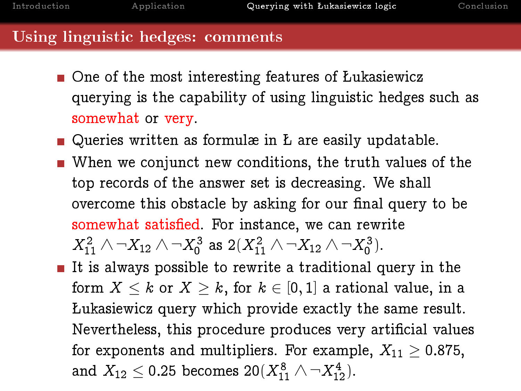- $\blacksquare$  One of the most interesting features of Lukasiewicz querying is the capability of using linguistic hedges such as somewhat or very.
- Queries written as formulæ in  $L$  are easily updatable.
- When we conjunct new conditions, the truth values of the top records of the answer set is decreasing. We shall overcome this obstacle by asking for our final query to be somewhat satisfied. For instance, we can rewrite  $X_{11}^2 \wedge \neg X_{12} \wedge \neg X_0^3$  as  $2(X_{11}^2 \wedge \neg X_{12} \wedge \neg X_0^3)$ .
- It is always possible to rewrite a traditional query in the form  $X \leq k$  or  $X \geq k$ , for  $k \in [0,1]$  a rational value, in a ukasiewicz query which provide exactly the same result. Nevertheless, this procedure produces very artificial values for exponents and multipliers. For example,  $X_{11} > 0.875$ , and  $X_{12} \le 0.25$  becomes  $20(X_{11}^8 \wedge \neg X_{12}^4)$ .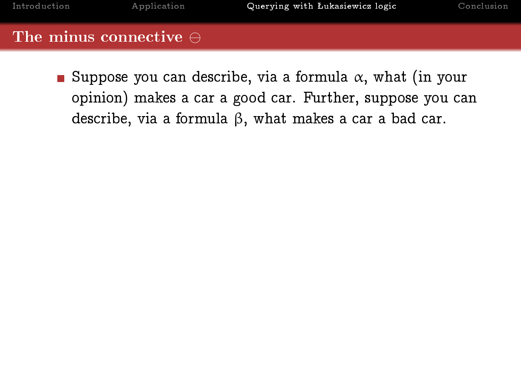Suppose you can describe, via a formula  $\alpha$ , what (in your opinion) makes a car a good car. Further, suppose you can describe, via a formula β, what makes a car a bad car.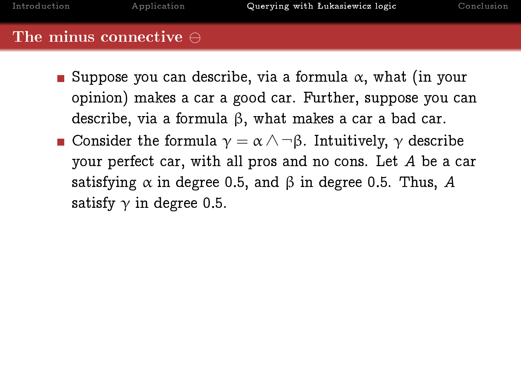Suppose you can describe, via a formula  $\alpha$ , what (in your opinion) makes a car a good car. Further, suppose you can describe, via a formula β, what makes a car a bad car. **Consider the formula**  $\gamma = \alpha \wedge \neg \beta$ **. Intuitively,**  $\gamma$  **describe** your perfect car, with all pros and no cons. Let A be a car satisfying  $\alpha$  in degree 0.5, and  $\beta$  in degree 0.5. Thus, A satisfy  $\gamma$  in degree 0.5.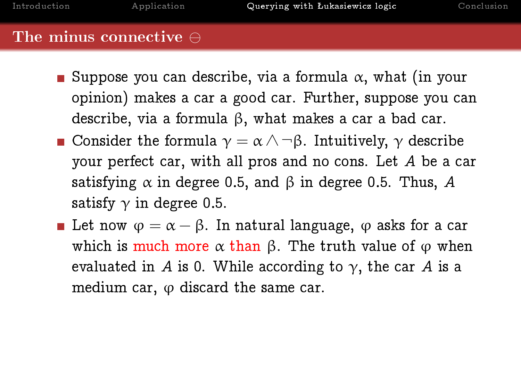- Suppose you can describe, via a formula  $\alpha$ , what (in your opinion) makes a car a good car. Further, suppose you can describe, via a formula β, what makes a car a bad car. **Consider the formula**  $\gamma = \alpha \wedge \neg \beta$ . Intuitively,  $\gamma$  describe your perfect car, with all pros and no cons. Let A be a car satisfying  $\alpha$  in degree 0.5, and  $\beta$  in degree 0.5. Thus, A satisfy  $\gamma$  in degree 0.5.
- **Let now**  $\varphi = \alpha \beta$ . In natural language,  $\varphi$  asks for a car which is much more  $\alpha$  than  $\beta$ . The truth value of  $\varphi$  when evaluated in A is 0. While according to  $\gamma$ , the car A is a medium car,  $\varphi$  discard the same car.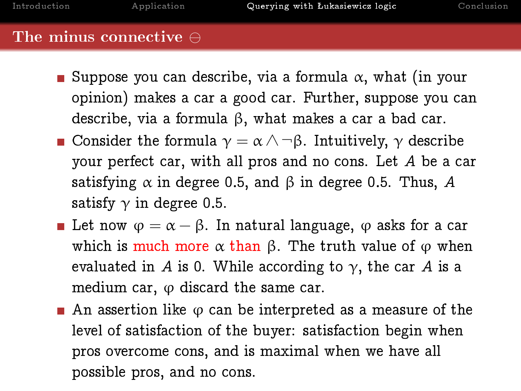- Suppose you can describe, via a formula  $\alpha$ , what (in your opinion) makes a car a good car. Further, suppose you can describe, via a formula β, what makes a car a bad car. **Consider the formula**  $\gamma = \alpha \wedge \neg \beta$ . Intuitively,  $\gamma$  describe your perfect car, with all pros and no cons. Let A be a car satisfying  $\alpha$  in degree 0.5, and  $\beta$  in degree 0.5. Thus, A satisfy  $\gamma$  in degree 0.5.
- **Let now**  $\varphi = \alpha \beta$ . In natural language,  $\varphi$  asks for a car which is much more  $\alpha$  than  $\beta$ . The truth value of  $\varphi$  when evaluated in A is 0. While according to  $\gamma$ , the car A is a medium car,  $\varphi$  discard the same car.
- An assertion like  $\varphi$  can be interpreted as a measure of the level of satisfaction of the buyer: satisfaction begin when pros overcome cons, and is maximal when we have all possible pros, and no cons.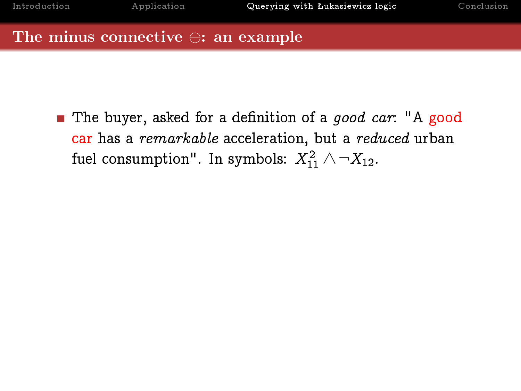#### The minus connective  $\ominus$ : an example

The buyer, asked for a definition of a *good car*: "A good car has a remarkable acceleration, but a reduced urban fuel consumption". In symbols:  $X_{11}^2 \wedge \neg X_{12}$ .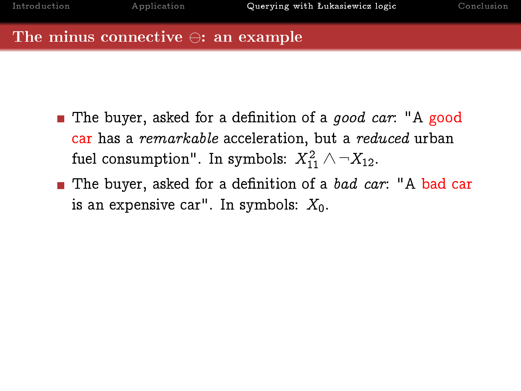# The minus connective  $\ominus$ : an example

- **n** The buyer, asked for a definition of a *good car*: "A good car has a remarkable acceleration, but a reduced urban fuel consumption". In symbols:  $X_{11}^2 \wedge \neg X_{12}$ .
- The buyer, asked for a definition of a bad car: "A bad car is an expensive car". In symbols:  $X_0$ .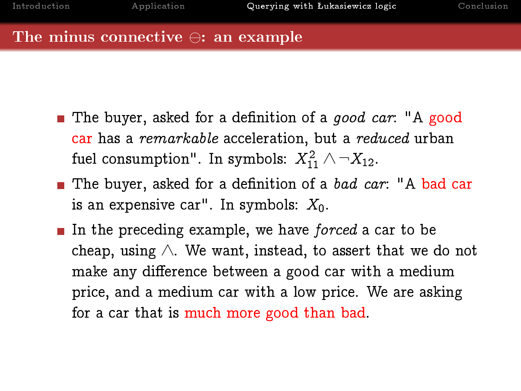#### The minus connective  $\ominus$ : an example

- The buyer, asked for a definition of a good car: "A good car has a remarkable acceleration, but a reduced urban fuel consumption". In symbols:  $X_{11}^2 \wedge \neg X_{12}$ .
- The buyer, asked for a definition of a bad car: "A bad car is an expensive car". In symbols:  $X_0$ .
- In the preceding example, we have *forced* a car to be cheap, using  $\wedge$ . We want, instead, to assert that we do not make any difference between a good car with a medium price, and a medium car with a low price. We are asking for a car that is much more good than bad.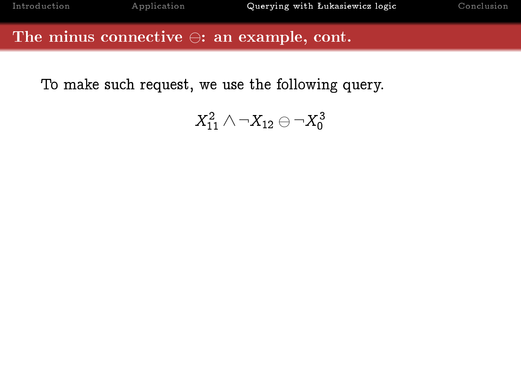### The minus connective  $\ominus$ : an example, cont.

To make such request, we use the following query.

$$
X_{11}^2\wedge\neg X_{12}\ominus\neg X_0^3
$$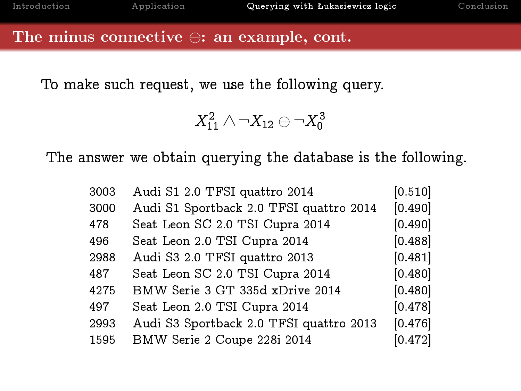### The minus connective  $\ominus$ : an example, cont.

To make such request, we use the following query.

 $X_{11}^2 \wedge \neg X_{12} \ominus \neg X_0^3$ 

The answer we obtain querying the database is the following.

| 3003 | Audi S1 2.0 TFSI quattro 2014           | [0.510] |
|------|-----------------------------------------|---------|
| 3000 | Audi S1 Sportback 2.0 TFSI quattro 2014 | [0.490] |
| 478  | Seat Leon SC 2.0 TSI Cupra 2014         | [0.490] |
| 496  | Seat Leon 2.0 TSI Cupra 2014            | [0.488] |
| 2988 | Audi S3 2.0 TFSI quattro 2013           | [0.481] |
| 487  | Seat Leon SC 2.0 TSI Cupra 2014         | [0.480] |
| 4275 | BMW Serie 3 GT 335d xDrive 2014         | [0.480] |
| 497  | Seat Leon 2.0 TSI Cupra 2014            | [0.478] |
| 2993 | Audi S3 Sportback 2.0 TFSI quattro 2013 | [0.476] |
| 1595 | BMW Serie 2 Coupe 228i 2014             | [0.472] |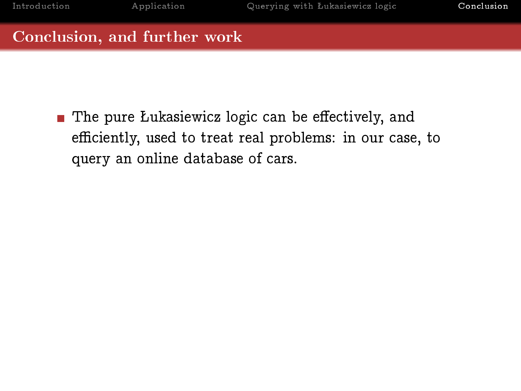<span id="page-39-0"></span>The pure Lukasiewicz logic can be effectively, and efficiently, used to treat real problems: in our case, to query an online database of cars.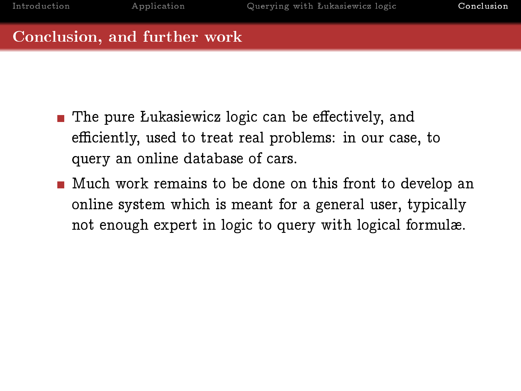- $\blacksquare$  The pure Lukasiewicz logic can be effectively, and efficiently, used to treat real problems: in our case, to query an online database of cars.
- **Much work remains to be done on this front to develop an** online system which is meant for a general user, typically not enough expert in logic to query with logical formulæ.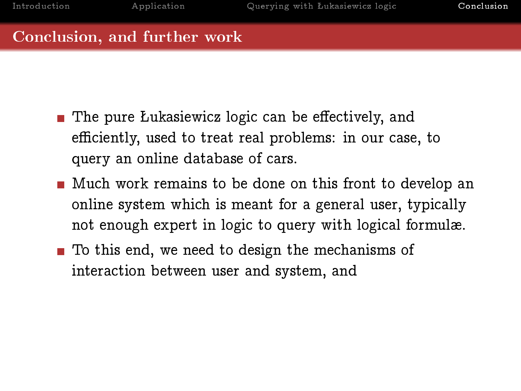- $\blacksquare$  The pure Lukasiewicz logic can be effectively, and efficiently, used to treat real problems: in our case, to query an online database of cars.
- **Much work remains to be done on this front to develop an** online system which is meant for a general user, typically not enough expert in logic to query with logical formulæ.
- To this end, we need to design the mechanisms of interaction between user and system, and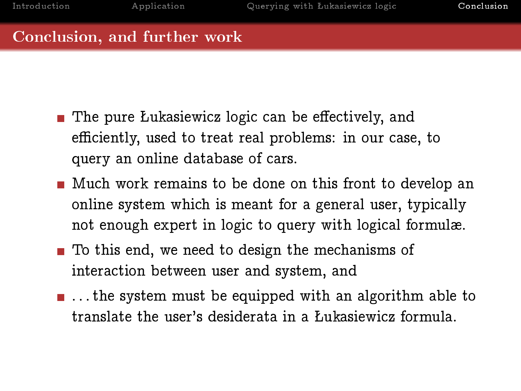- $\blacksquare$  The pure Lukasiewicz logic can be effectively, and efficiently, used to treat real problems: in our case, to query an online database of cars.
- **Much work remains to be done on this front to develop an** online system which is meant for a general user, typically not enough expert in logic to query with logical formulæ.
- To this end, we need to design the mechanisms of interaction between user and system, and
- $\blacksquare$ ... the system must be equipped with an algorithm able to translate the user's desiderata in a Łukasiewicz formula.